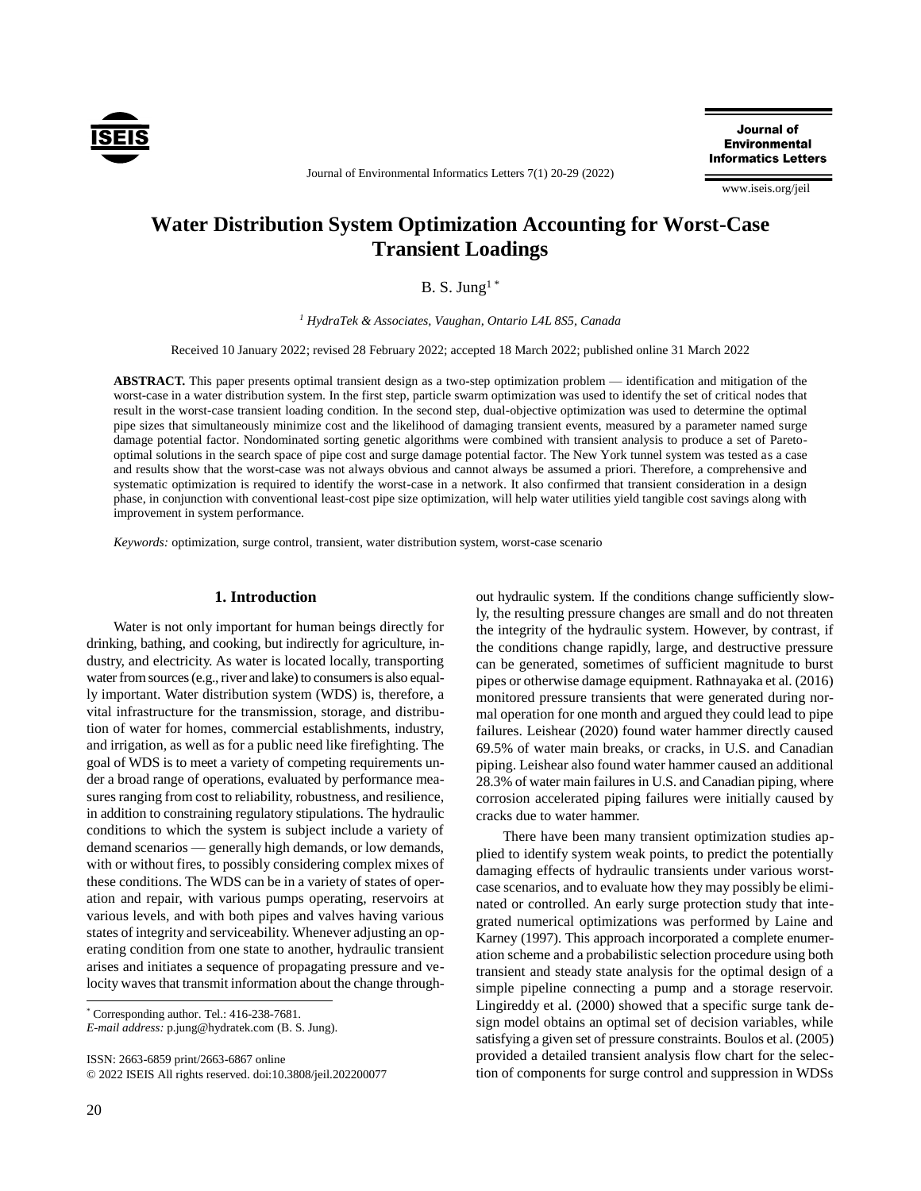

Journal of **Environmental Informatics Letters** 

www.iseis.org/jeil

# **Water Distribution System Optimization Accounting for Worst-Case Transient Loadings**

Journal of Environmental Informatics Letters 7(1) 20-29 (2022)

B. S. Jung<sup>1\*</sup>

*<sup>1</sup> HydraTek & Associates, Vaughan, Ontario L4L 8S5, Canada*

Received 10 January 2022; revised 28 February 2022; accepted 18 March 2022; published online 31 March 2022

**ABSTRACT.** This paper presents optimal transient design as a two-step optimization problem — identification and mitigation of the worst-case in a water distribution system. In the first step, particle swarm optimization was used to identify the set of critical nodes that result in the worst-case transient loading condition. In the second step, dual-objective optimization was used to determine the optimal pipe sizes that simultaneously minimize cost and the likelihood of damaging transient events, measured by a parameter named surge damage potential factor. Nondominated sorting genetic algorithms were combined with transient analysis to produce a set of Paretooptimal solutions in the search space of pipe cost and surge damage potential factor. The New York tunnel system was tested as a case and results show that the worst-case was not always obvious and cannot always be assumed a priori. Therefore, a comprehensive and systematic optimization is required to identify the worst-case in a network. It also confirmed that transient consideration in a design phase, in conjunction with conventional least-cost pipe size optimization, will help water utilities yield tangible cost savings along with improvement in system performance.

*Keywords:* optimization, surge control, transient, water distribution system, worst-case scenario

## **1. Introduction**

Water is not only important for human beings directly for drinking, bathing, and cooking, but indirectly for agriculture, industry, and electricity. As water is located locally, transporting water from sources (e.g., river and lake) to consumers is also equally important. Water distribution system (WDS) is, therefore, a vital infrastructure for the transmission, storage, and distribution of water for homes, commercial establishments, industry, and irrigation, as well as for a public need like firefighting. The goal of WDS is to meet a variety of competing requirements under a broad range of operations, evaluated by performance measures ranging from cost to reliability, robustness, and resilience, in addition to constraining regulatory stipulations. The hydraulic conditions to which the system is subject include a variety of demand scenarios — generally high demands, or low demands, with or without fires, to possibly considering complex mixes of these conditions. The WDS can be in a variety of states of operation and repair, with various pumps operating, reservoirs at various levels, and with both pipes and valves having various states of integrity and serviceability. Whenever adjusting an operating condition from one state to another, hydraulic transient arises and initiates a sequence of propagating pressure and velocity waves that transmit information about the change through-

\* Corresponding author. Tel.: 416-238-7681.

*E-mail address:* p.jung@hydratek.com (B. S. Jung).

ISSN: 2663-6859 print/2663-6867 online

© 2022 ISEIS All rights reserved. doi:10.3808/jeil.202200077

out hydraulic system. If the conditions change sufficiently slowly, the resulting pressure changes are small and do not threaten the integrity of the hydraulic system. However, by contrast, if the conditions change rapidly, large, and destructive pressure can be generated, sometimes of sufficient magnitude to burst pipes or otherwise damage equipment. Rathnayaka et al. (2016) monitored pressure transients that were generated during normal operation for one month and argued they could lead to pipe failures. Leishear (2020) found water hammer directly caused 69.5% of water main breaks, or cracks, in U.S. and Canadian piping. Leishear also found water hammer caused an additional 28.3% of water main failures in U.S. and Canadian piping, where corrosion accelerated piping failures were initially caused by cracks due to water hammer.

There have been many transient optimization studies applied to identify system weak points, to predict the potentially damaging effects of hydraulic transients under various worstcase scenarios, and to evaluate how they may possibly be eliminated or controlled. An early surge protection study that integrated numerical optimizations was performed by Laine and Karney (1997). This approach incorporated a complete enumeration scheme and a probabilistic selection procedure using both transient and steady state analysis for the optimal design of a simple pipeline connecting a pump and a storage reservoir. Lingireddy et al. (2000) showed that a specific surge tank design model obtains an optimal set of decision variables, while satisfying a given set of pressure constraints. Boulos et al. (2005) provided a detailed transient analysis flow chart for the selection of components for surge control and suppression in WDSs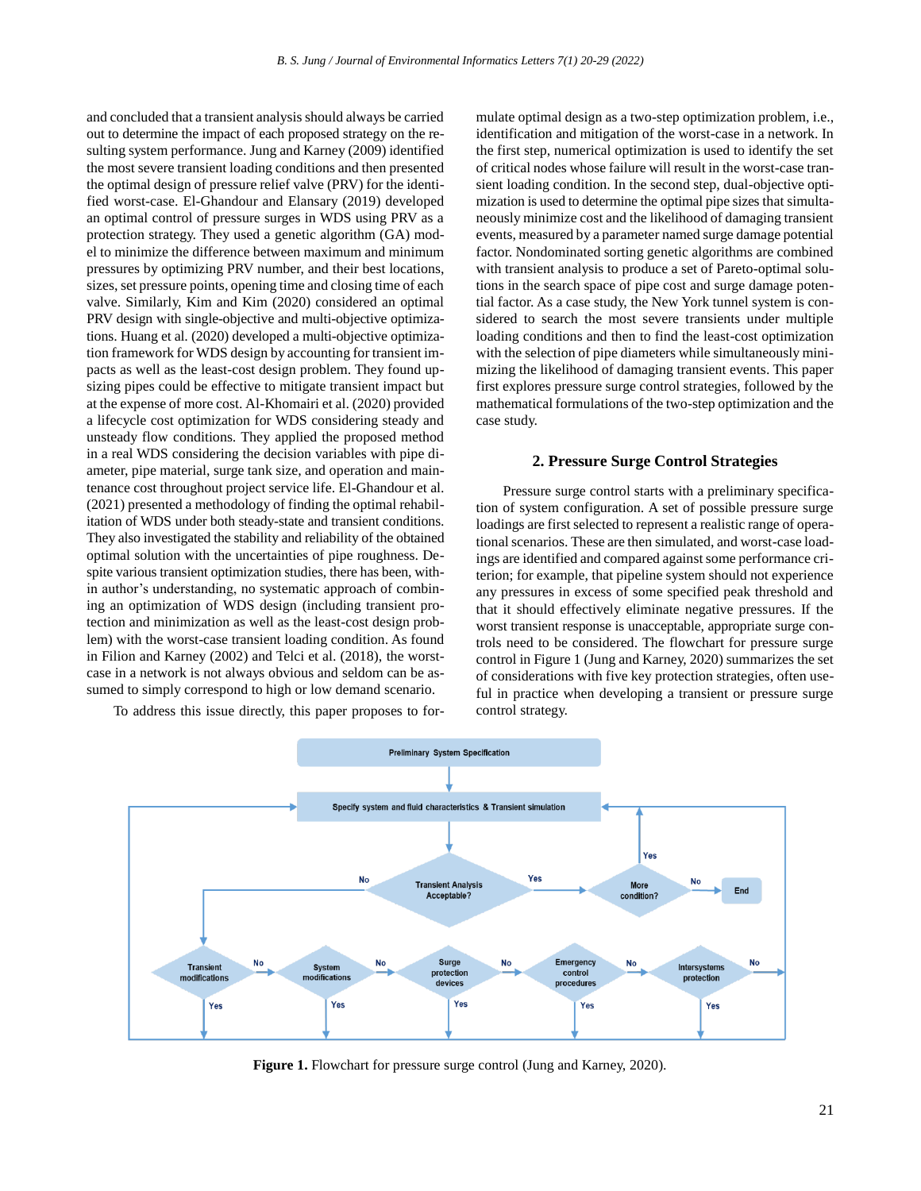and concluded that a transient analysis should always be carried out to determine the impact of each proposed strategy on the resulting system performance. Jung and Karney (2009) identified the most severe transient loading conditions and then presented the optimal design of pressure relief valve (PRV) for the identified worst-case. El-Ghandour and Elansary (2019) developed an optimal control of pressure surges in WDS using PRV as a protection strategy. They used a genetic algorithm (GA) model to minimize the difference between maximum and minimum pressures by optimizing PRV number, and their best locations, sizes, set pressure points, opening time and closing time of each valve. Similarly, Kim and Kim (2020) considered an optimal PRV design with single-objective and multi-objective optimizations. Huang et al. (2020) developed a multi-objective optimization framework for WDS design by accounting for transient impacts as well as the least-cost design problem. They found upsizing pipes could be effective to mitigate transient impact but at the expense of more cost. Al-Khomairi et al. (2020) provided a lifecycle cost optimization for WDS considering steady and unsteady flow conditions. They applied the proposed method in a real WDS considering the decision variables with pipe diameter, pipe material, surge tank size, and operation and maintenance cost throughout project service life. El-Ghandour et al. (2021) presented a methodology of finding the optimal rehabilitation of WDS under both steady-state and transient conditions. They also investigated the stability and reliability of the obtained optimal solution with the uncertainties of pipe roughness. Despite various transient optimization studies, there has been, within author's understanding, no systematic approach of combining an optimization of WDS design (including transient protection and minimization as well as the least-cost design problem) with the worst-case transient loading condition. As found in Filion and Karney (2002) and Telci et al. (2018), the worstcase in a network is not always obvious and seldom can be assumed to simply correspond to high or low demand scenario.

To address this issue directly, this paper proposes to for-

mulate optimal design as a two-step optimization problem, i.e., identification and mitigation of the worst-case in a network. In the first step, numerical optimization is used to identify the set of critical nodes whose failure will result in the worst-case transient loading condition. In the second step, dual-objective optimization is used to determine the optimal pipe sizes that simultaneously minimize cost and the likelihood of damaging transient events, measured by a parameter named surge damage potential factor. Nondominated sorting genetic algorithms are combined with transient analysis to produce a set of Pareto-optimal solutions in the search space of pipe cost and surge damage potential factor. As a case study, the New York tunnel system is considered to search the most severe transients under multiple loading conditions and then to find the least-cost optimization with the selection of pipe diameters while simultaneously minimizing the likelihood of damaging transient events. This paper first explores pressure surge control strategies, followed by the mathematical formulations of the two-step optimization and the case study.

### **2. Pressure Surge Control Strategies**

Pressure surge control starts with a preliminary specification of system configuration. A set of possible pressure surge loadings are first selected to represent a realistic range of operational scenarios. These are then simulated, and worst-case loadings are identified and compared against some performance criterion; for example, that pipeline system should not experience any pressures in excess of some specified peak threshold and that it should effectively eliminate negative pressures. If the worst transient response is unacceptable, appropriate surge controls need to be considered. The flowchart for pressure surge control in Figure 1 (Jung and Karney, 2020) summarizes the set of considerations with five key protection strategies, often useful in practice when developing a transient or pressure surge control strategy.



**Figure 1.** Flowchart for pressure surge control (Jung and Karney, 2020).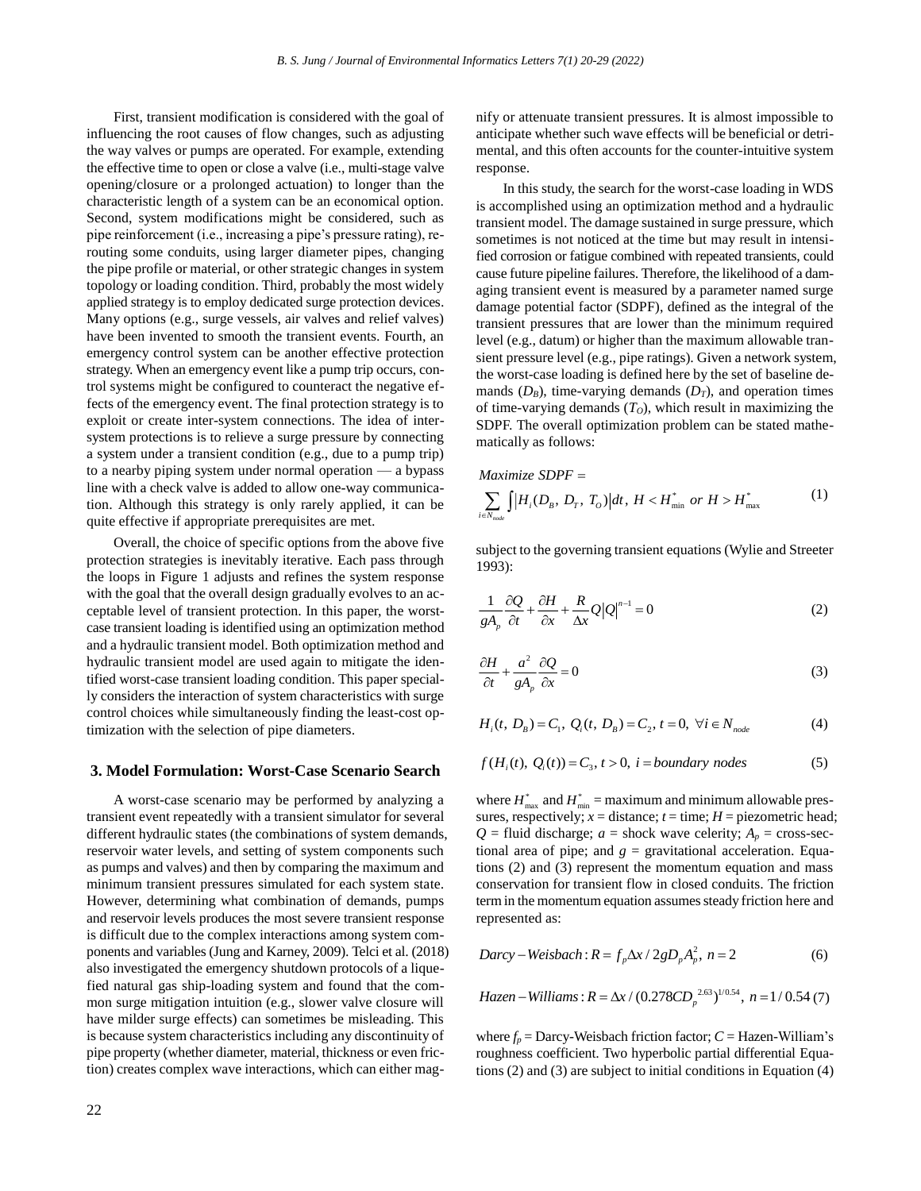First, transient modification is considered with the goal of influencing the root causes of flow changes, such as adjusting the way valves or pumps are operated. For example, extending the effective time to open or close a valve (i.e., multi-stage valve opening/closure or a prolonged actuation) to longer than the characteristic length of a system can be an economical option. Second, system modifications might be considered, such as pipe reinforcement (i.e., increasing a pipe's pressure rating), rerouting some conduits, using larger diameter pipes, changing the pipe profile or material, or other strategic changes in system topology or loading condition. Third, probably the most widely applied strategy is to employ dedicated surge protection devices. Many options (e.g., surge vessels, air valves and relief valves) have been invented to smooth the transient events. Fourth, an emergency control system can be another effective protection strategy. When an emergency event like a pump trip occurs, control systems might be configured to counteract the negative effects of the emergency event. The final protection strategy is to exploit or create inter-system connections. The idea of intersystem protections is to relieve a surge pressure by connecting a system under a transient condition (e.g., due to a pump trip) to a nearby piping system under normal operation — a bypass line with a check valve is added to allow one-way communication. Although this strategy is only rarely applied, it can be quite effective if appropriate prerequisites are met.

Overall, the choice of specific options from the above five protection strategies is inevitably iterative. Each pass through the loops in Figure 1 adjusts and refines the system response with the goal that the overall design gradually evolves to an acceptable level of transient protection. In this paper, the worstcase transient loading is identified using an optimization method and a hydraulic transient model. Both optimization method and hydraulic transient model are used again to mitigate the identified worst-case transient loading condition. This paper specially considers the interaction of system characteristics with surge control choices while simultaneously finding the least-cost optimization with the selection of pipe diameters.

#### **3. Model Formulation: Worst-Case Scenario Search**

A worst-case scenario may be performed by analyzing a transient event repeatedly with a transient simulator for several different hydraulic states (the combinations of system demands, reservoir water levels, and setting of system components such as pumps and valves) and then by comparing the maximum and minimum transient pressures simulated for each system state. However, determining what combination of demands, pumps and reservoir levels produces the most severe transient response is difficult due to the complex interactions among system components and variables (Jung and Karney, 2009). Telci et al. (2018) also investigated the emergency shutdown protocols of a liquefied natural gas ship-loading system and found that the common surge mitigation intuition (e.g., slower valve closure will have milder surge effects) can sometimes be misleading. This is because system characteristics including any discontinuity of pipe property (whether diameter, material, thickness or even friction) creates complex wave interactions, which can either mag-

22

nify or attenuate transient pressures. It is almost impossible to anticipate whether such wave effects will be beneficial or detrimental, and this often accounts for the counter-intuitive system response.

In this study, the search for the worst-case loading in WDS is accomplished using an optimization method and a hydraulic transient model. The damage sustained in surge pressure, which sometimes is not noticed at the time but may result in intensified corrosion or fatigue combined with repeated transients, could cause future pipeline failures. Therefore, the likelihood of a damaging transient event is measured by a parameter named surge damage potential factor (SDPF), defined as the integral of the transient pressures that are lower than the minimum required level (e.g., datum) or higher than the maximum allowable transient pressure level (e.g., pipe ratings). Given a network system, the worst-case loading is defined here by the set of baseline demands  $(D_B)$ , time-varying demands  $(D_T)$ , and operation times of time-varying demands  $(T<sub>O</sub>)$ , which result in maximizing the SDPF. The overall optimization problem can be stated mathematically as follows:

$$
Maximize SDPF =
$$
  

$$
\sum_{i \in N_{mode}} \int |H_i(D_B, D_T, T_O)| dt, H < H_{min}^* \text{ or } H > H_{max}^*
$$
 (1)

subject to the governing transient equations (Wylie and Streeter 1993):

$$
\frac{1}{gA_p}\frac{\partial Q}{\partial t} + \frac{\partial H}{\partial x} + \frac{R}{\Delta x}Q|Q|^{n-1} = 0
$$
\n(2)

$$
\frac{\partial H}{\partial t} + \frac{a^2}{gA_p} \frac{\partial Q}{\partial x} = 0
$$
\n(3)

$$
H_i(t, D_B) = C_1, Q_i(t, D_B) = C_2, t = 0, \forall i \in N_{node}
$$
 (4)

$$
f(Hi(t), Qi(t)) = C3, t > 0, i = boundary nodes
$$
 (5)

where  $H_{\text{max}}^*$  and  $H_{\text{min}}^* =$  maximum and minimum allowable pressures, respectively;  $x =$  distance;  $t =$  time;  $H =$  piezometric head;  $Q$  = fluid discharge; *a* = shock wave celerity;  $A_p$  = cross-sectional area of pipe; and  $g =$  gravitational acceleration. Equations (2) and (3) represent the momentum equation and mass conservation for transient flow in closed conduits. The friction term in the momentum equation assumes steady friction here and represented as:

*Darcy–Weisbach*: 
$$
R = f_p \Delta x / 2gD_p A_p^2
$$
,  $n = 2$  (6)

*Hazen* – Williams : 
$$
R = \Delta x / (0.278CD_p^{2.63})^{1/0.54}
$$
,  $n = 1 / 0.54$  (7)

where  $f_p =$  Darcy-Weisbach friction factor;  $C =$  Hazen-William's roughness coefficient. Two hyperbolic partial differential Equations (2) and (3) are subject to initial conditions in Equation (4)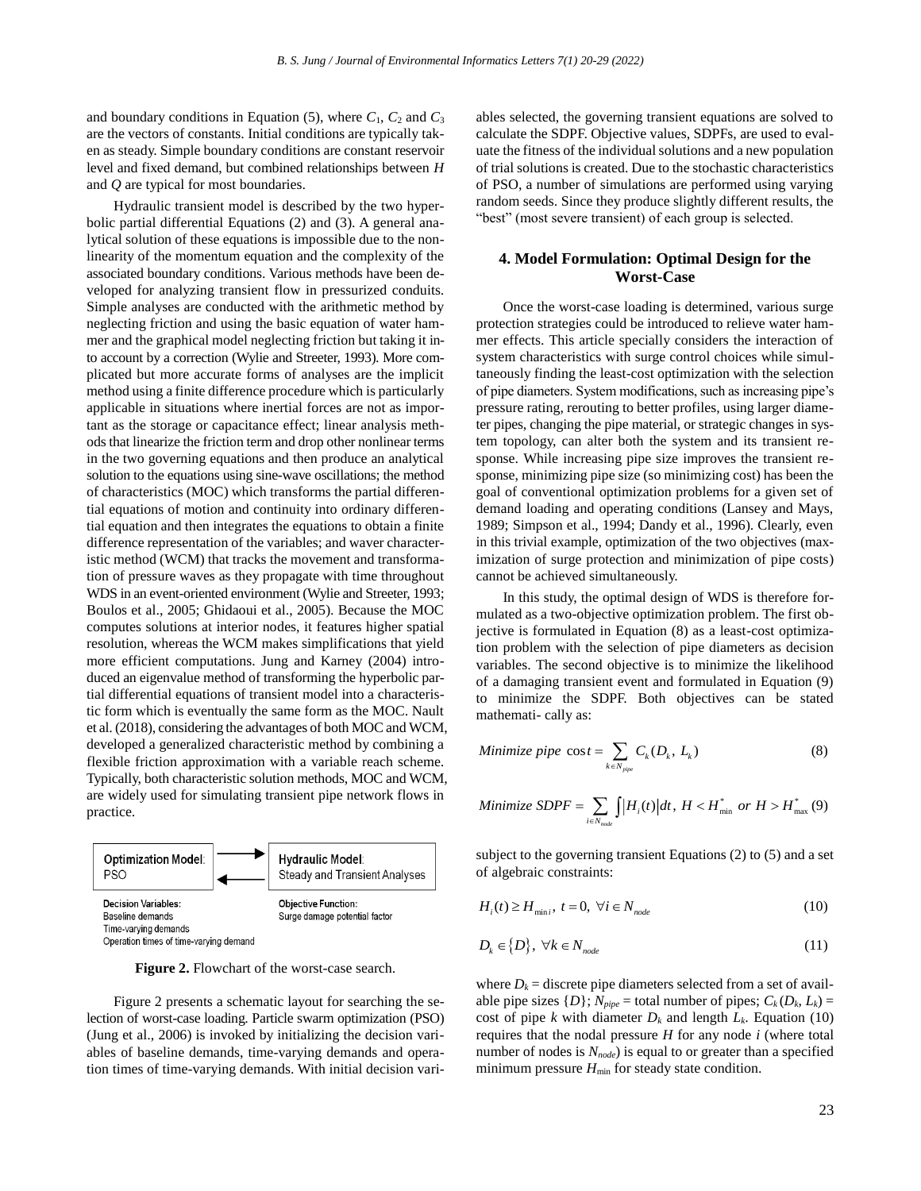and boundary conditions in Equation (5), where  $C_1$ ,  $C_2$  and  $C_3$ are the vectors of constants. Initial conditions are typically taken as steady. Simple boundary conditions are constant reservoir level and fixed demand, but combined relationships between *H* and *Q* are typical for most boundaries.

Hydraulic transient model is described by the two hyperbolic partial differential Equations (2) and (3). A general analytical solution of these equations is impossible due to the nonlinearity of the momentum equation and the complexity of the associated boundary conditions. Various methods have been developed for analyzing transient flow in pressurized conduits. Simple analyses are conducted with the arithmetic method by neglecting friction and using the basic equation of water hammer and the graphical model neglecting friction but taking it into account by a correction (Wylie and Streeter, 1993). More complicated but more accurate forms of analyses are the implicit method using a finite difference procedure which is particularly applicable in situations where inertial forces are not as important as the storage or capacitance effect; linear analysis methods that linearize the friction term and drop other nonlinear terms in the two governing equations and then produce an analytical solution to the equations using sine-wave oscillations; the method of characteristics (MOC) which transforms the partial differential equations of motion and continuity into ordinary differential equation and then integrates the equations to obtain a finite difference representation of the variables; and waver characteristic method (WCM) that tracks the movement and transformation of pressure waves as they propagate with time throughout WDS in an event-oriented environment (Wylie and Streeter, 1993; Boulos et al., 2005; Ghidaoui et al., 2005). Because the MOC computes solutions at interior nodes, it features higher spatial resolution, whereas the WCM makes simplifications that yield more efficient computations. Jung and Karney (2004) introduced an eigenvalue method of transforming the hyperbolic partial differential equations of transient model into a characteristic form which is eventually the same form as the MOC. Nault et al. (2018), considering the advantages of both MOC and WCM, developed a generalized characteristic method by combining a flexible friction approximation with a variable reach scheme. Typically, both characteristic solution methods, MOC and WCM, are widely used for simulating transient pipe network flows in practice.



**Figure 2.** Flowchart of the worst-case search.

Figure 2 presents a schematic layout for searching the selection of worst-case loading. Particle swarm optimization (PSO) (Jung et al., 2006) is invoked by initializing the decision variables of baseline demands, time-varying demands and operation times of time-varying demands. With initial decision variables selected, the governing transient equations are solved to calculate the SDPF. Objective values, SDPFs, are used to evaluate the fitness of the individual solutions and a new population of trial solutions is created. Due to the stochastic characteristics of PSO, a number of simulations are performed using varying random seeds. Since they produce slightly different results, the "best" (most severe transient) of each group is selected.

# **4. Model Formulation: Optimal Design for the Worst-Case**

Once the worst-case loading is determined, various surge protection strategies could be introduced to relieve water hammer effects. This article specially considers the interaction of system characteristics with surge control choices while simultaneously finding the least-cost optimization with the selection of pipe diameters. System modifications, such as increasing pipe's pressure rating, rerouting to better profiles, using larger diameter pipes, changing the pipe material, or strategic changes in system topology, can alter both the system and its transient response. While increasing pipe size improves the transient response, minimizing pipe size (so minimizing cost) has been the goal of conventional optimization problems for a given set of demand loading and operating conditions (Lansey and Mays, 1989; Simpson et al., 1994; Dandy et al., 1996). Clearly, even in this trivial example, optimization of the two objectives (maximization of surge protection and minimization of pipe costs) cannot be achieved simultaneously.

In this study, the optimal design of WDS is therefore formulated as a two-objective optimization problem. The first objective is formulated in Equation (8) as a least-cost optimization problem with the selection of pipe diameters as decision variables. The second objective is to minimize the likelihood of a damaging transient event and formulated in Equation (9) to minimize the SDPF. Both objectives can be stated mathemati- cally as:

Minimize pipe 
$$
\cos t = \sum_{k \in N_{pipe}} C_k(D_k, L_k)
$$
 (8)

Minimize SDPF = 
$$
\sum_{i \in N_{node}} \int |H_i(t)| dt, H < H_{min}^* \text{ or } H > H_{max}^*(9)
$$

subject to the governing transient Equations (2) to (5) and a set of algebraic constraints:

$$
H_i(t) \ge H_{\min i}, \ t = 0, \ \forall i \in N_{node}
$$
 (10)

$$
D_k \in \{D\}, \ \forall k \in N_{node} \tag{11}
$$

where  $D_k$  = discrete pipe diameters selected from a set of available pipe sizes  $\{D\}$ ;  $N_{pipe}$  = total number of pipes;  $C_k(D_k, L_k)$  = cost of pipe *k* with diameter  $D_k$  and length  $L_k$ . Equation (10) requires that the nodal pressure *H* for any node *i* (where total number of nodes is *Nnode*) is equal to or greater than a specified minimum pressure  $H_{\text{min}}$  for steady state condition.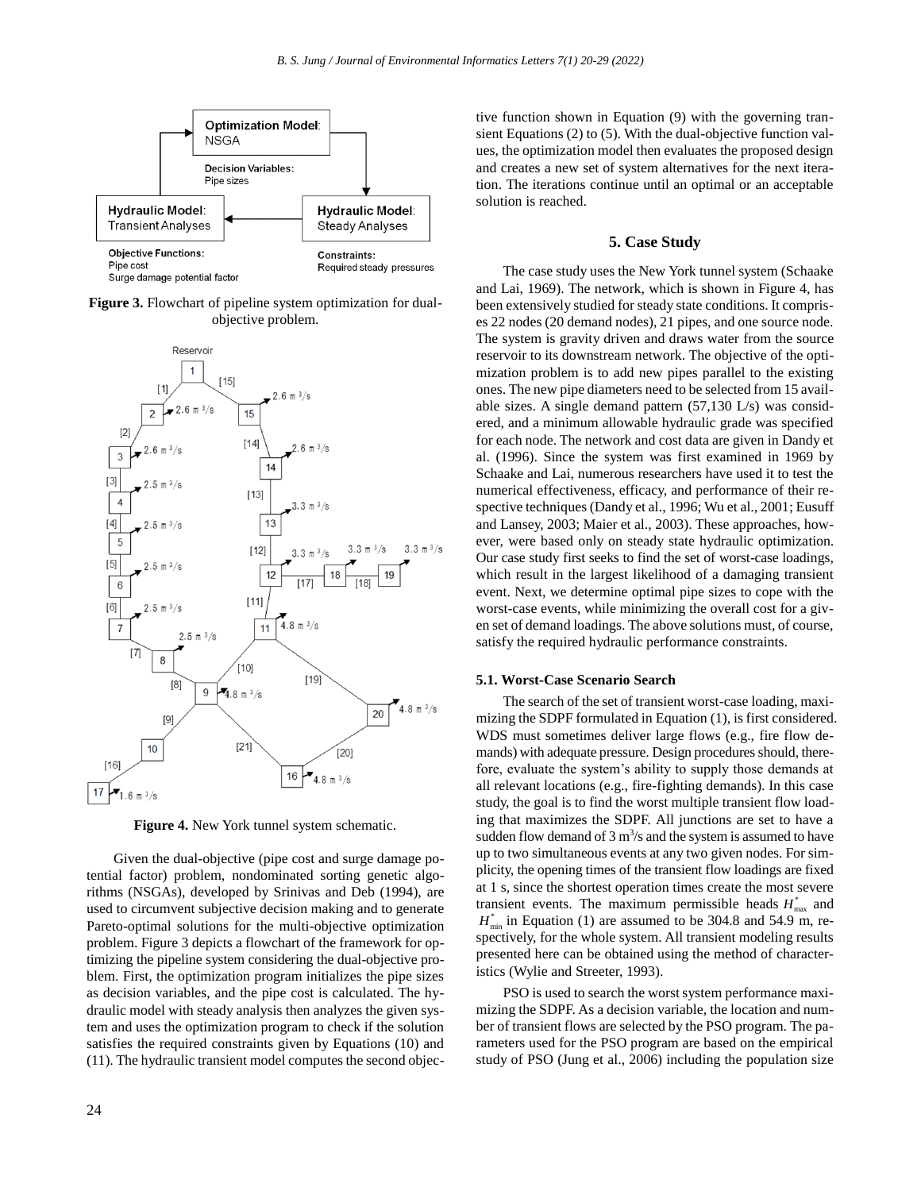

**Figure 3.** Flowchart of pipeline system optimization for dualobjective problem.



**Figure 4.** New York tunnel system schematic.

Given the dual-objective (pipe cost and surge damage potential factor) problem, nondominated sorting genetic algorithms (NSGAs), developed by Srinivas and Deb (1994), are used to circumvent subjective decision making and to generate Pareto-optimal solutions for the multi-objective optimization problem. Figure 3 depicts a flowchart of the framework for optimizing the pipeline system considering the dual-objective problem. First, the optimization program initializes the pipe sizes as decision variables, and the pipe cost is calculated. The hydraulic model with steady analysis then analyzes the given system and uses the optimization program to check if the solution satisfies the required constraints given by Equations (10) and (11). The hydraulic transient model computes the second objective function shown in Equation (9) with the governing transient Equations (2) to (5). With the dual-objective function values, the optimization model then evaluates the proposed design and creates a new set of system alternatives for the next iteration. The iterations continue until an optimal or an acceptable solution is reached.

## **5. Case Study**

The case study uses the New York tunnel system (Schaake and Lai, 1969). The network, which is shown in Figure 4, has been extensively studied for steady state conditions. It comprises 22 nodes (20 demand nodes), 21 pipes, and one source node. The system is gravity driven and draws water from the source reservoir to its downstream network. The objective of the optimization problem is to add new pipes parallel to the existing ones. The new pipe diameters need to be selected from 15 available sizes. A single demand pattern (57,130 L/s) was considered, and a minimum allowable hydraulic grade was specified for each node. The network and cost data are given in Dandy et al. (1996). Since the system was first examined in 1969 by Schaake and Lai, numerous researchers have used it to test the numerical effectiveness, efficacy, and performance of their respective techniques (Dandy et al., 1996; Wu et al., 2001; Eusuff and Lansey, 2003; Maier et al., 2003). These approaches, however, were based only on steady state hydraulic optimization. Our case study first seeks to find the set of worst-case loadings, which result in the largest likelihood of a damaging transient event. Next, we determine optimal pipe sizes to cope with the worst-case events, while minimizing the overall cost for a given set of demand loadings. The above solutions must, of course, satisfy the required hydraulic performance constraints.

### **5.1. Worst-Case Scenario Search**

The search of the set of transient worst-case loading, maximizing the SDPF formulated in Equation (1), is first considered. WDS must sometimes deliver large flows (e.g., fire flow demands) with adequate pressure. Design procedures should, therefore, evaluate the system's ability to supply those demands at all relevant locations (e.g., fire-fighting demands). In this case study, the goal is to find the worst multiple transient flow loading that maximizes the SDPF. All junctions are set to have a sudden flow demand of  $3 \text{ m}^3$ /s and the system is assumed to have up to two simultaneous events at any two given nodes. For simplicity, the opening times of the transient flow loadings are fixed at 1 s, since the shortest operation times create the most severe transient events. The maximum permissible heads  $H_{\text{max}}^*$  and  $H_{\min}^*$  in Equation (1) are assumed to be 304.8 and 54.9 m, respectively, for the whole system. All transient modeling results presented here can be obtained using the method of characteristics (Wylie and Streeter, 1993).

PSO is used to search the worst system performance maximizing the SDPF. As a decision variable, the location and number of transient flows are selected by the PSO program. The parameters used for the PSO program are based on the empirical study of PSO (Jung et al., 2006) including the population size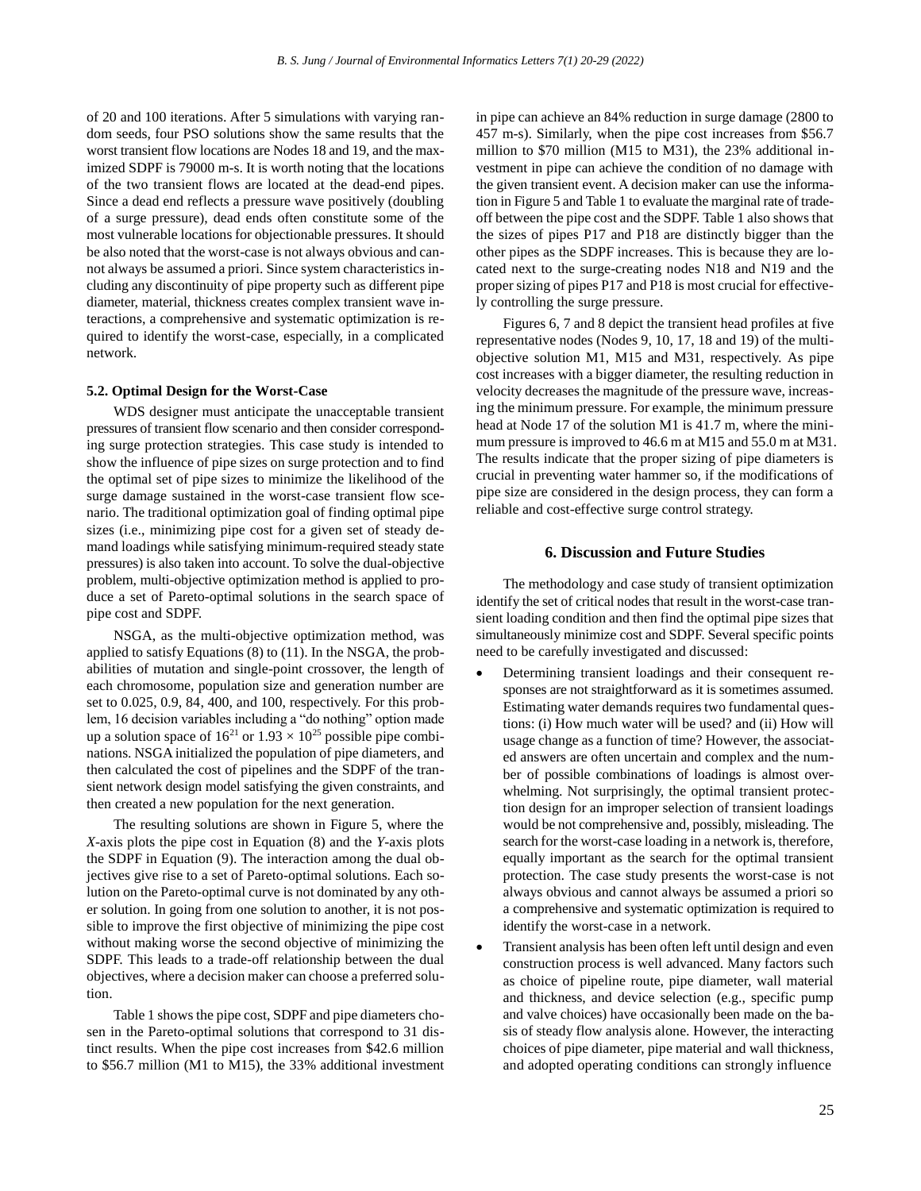of 20 and 100 iterations. After 5 simulations with varying random seeds, four PSO solutions show the same results that the worst transient flow locations are Nodes 18 and 19, and the maximized SDPF is 79000 m-s. It is worth noting that the locations of the two transient flows are located at the dead-end pipes. Since a dead end reflects a pressure wave positively (doubling of a surge pressure), dead ends often constitute some of the most vulnerable locations for objectionable pressures. It should be also noted that the worst-case is not always obvious and cannot always be assumed a priori. Since system characteristics including any discontinuity of pipe property such as different pipe diameter, material, thickness creates complex transient wave interactions, a comprehensive and systematic optimization is required to identify the worst-case, especially, in a complicated network.

#### **5.2. Optimal Design for the Worst-Case**

WDS designer must anticipate the unacceptable transient pressures of transient flow scenario and then consider corresponding surge protection strategies. This case study is intended to show the influence of pipe sizes on surge protection and to find the optimal set of pipe sizes to minimize the likelihood of the surge damage sustained in the worst-case transient flow scenario. The traditional optimization goal of finding optimal pipe sizes (i.e., minimizing pipe cost for a given set of steady demand loadings while satisfying minimum-required steady state pressures) is also taken into account. To solve the dual-objective problem, multi-objective optimization method is applied to produce a set of Pareto-optimal solutions in the search space of pipe cost and SDPF.

NSGA, as the multi-objective optimization method, was applied to satisfy Equations (8) to (11). In the NSGA, the probabilities of mutation and single-point crossover, the length of each chromosome, population size and generation number are set to 0.025, 0.9, 84, 400, and 100, respectively. For this problem, 16 decision variables including a "do nothing" option made up a solution space of  $16^{21}$  or  $1.93 \times 10^{25}$  possible pipe combinations. NSGA initialized the population of pipe diameters, and then calculated the cost of pipelines and the SDPF of the transient network design model satisfying the given constraints, and then created a new population for the next generation.

The resulting solutions are shown in Figure 5, where the *X*-axis plots the pipe cost in Equation (8) and the *Y*-axis plots the SDPF in Equation (9). The interaction among the dual objectives give rise to a set of Pareto-optimal solutions. Each solution on the Pareto-optimal curve is not dominated by any other solution. In going from one solution to another, it is not possible to improve the first objective of minimizing the pipe cost without making worse the second objective of minimizing the SDPF. This leads to a trade-off relationship between the dual objectives, where a decision maker can choose a preferred solution.

Table 1 shows the pipe cost, SDPF and pipe diameters chosen in the Pareto-optimal solutions that correspond to 31 distinct results. When the pipe cost increases from \$42.6 million to \$56.7 million (M1 to M15), the 33% additional investment in pipe can achieve an 84% reduction in surge damage (2800 to 457 m-s). Similarly, when the pipe cost increases from \$56.7 million to \$70 million (M15 to M31), the 23% additional investment in pipe can achieve the condition of no damage with the given transient event. A decision maker can use the information in Figure 5 and Table 1 to evaluate the marginal rate of tradeoff between the pipe cost and the SDPF. Table 1 also shows that the sizes of pipes P17 and P18 are distinctly bigger than the other pipes as the SDPF increases. This is because they are located next to the surge-creating nodes N18 and N19 and the proper sizing of pipes P17 and P18 is most crucial for effectively controlling the surge pressure.

Figures 6, 7 and 8 depict the transient head profiles at five representative nodes (Nodes 9, 10, 17, 18 and 19) of the multiobjective solution M1, M15 and M31, respectively. As pipe cost increases with a bigger diameter, the resulting reduction in velocity decreases the magnitude of the pressure wave, increasing the minimum pressure. For example, the minimum pressure head at Node 17 of the solution M1 is 41.7 m, where the minimum pressure is improved to 46.6 m at M15 and 55.0 m at M31. The results indicate that the proper sizing of pipe diameters is crucial in preventing water hammer so, if the modifications of pipe size are considered in the design process, they can form a reliable and cost-effective surge control strategy.

### **6. Discussion and Future Studies**

The methodology and case study of transient optimization identify the set of critical nodes that result in the worst-case transient loading condition and then find the optimal pipe sizes that simultaneously minimize cost and SDPF. Several specific points need to be carefully investigated and discussed:

- Determining transient loadings and their consequent responses are not straightforward as it is sometimes assumed. Estimating water demands requires two fundamental questions: (i) How much water will be used? and (ii) How will usage change as a function of time? However, the associated answers are often uncertain and complex and the number of possible combinations of loadings is almost overwhelming. Not surprisingly, the optimal transient protection design for an improper selection of transient loadings would be not comprehensive and, possibly, misleading. The search for the worst-case loading in a network is, therefore, equally important as the search for the optimal transient protection. The case study presents the worst-case is not always obvious and cannot always be assumed a priori so a comprehensive and systematic optimization is required to identify the worst-case in a network.
- Transient analysis has been often left until design and even construction process is well advanced. Many factors such as choice of pipeline route, pipe diameter, wall material and thickness, and device selection (e.g., specific pump and valve choices) have occasionally been made on the basis of steady flow analysis alone. However, the interacting choices of pipe diameter, pipe material and wall thickness, and adopted operating conditions can strongly influence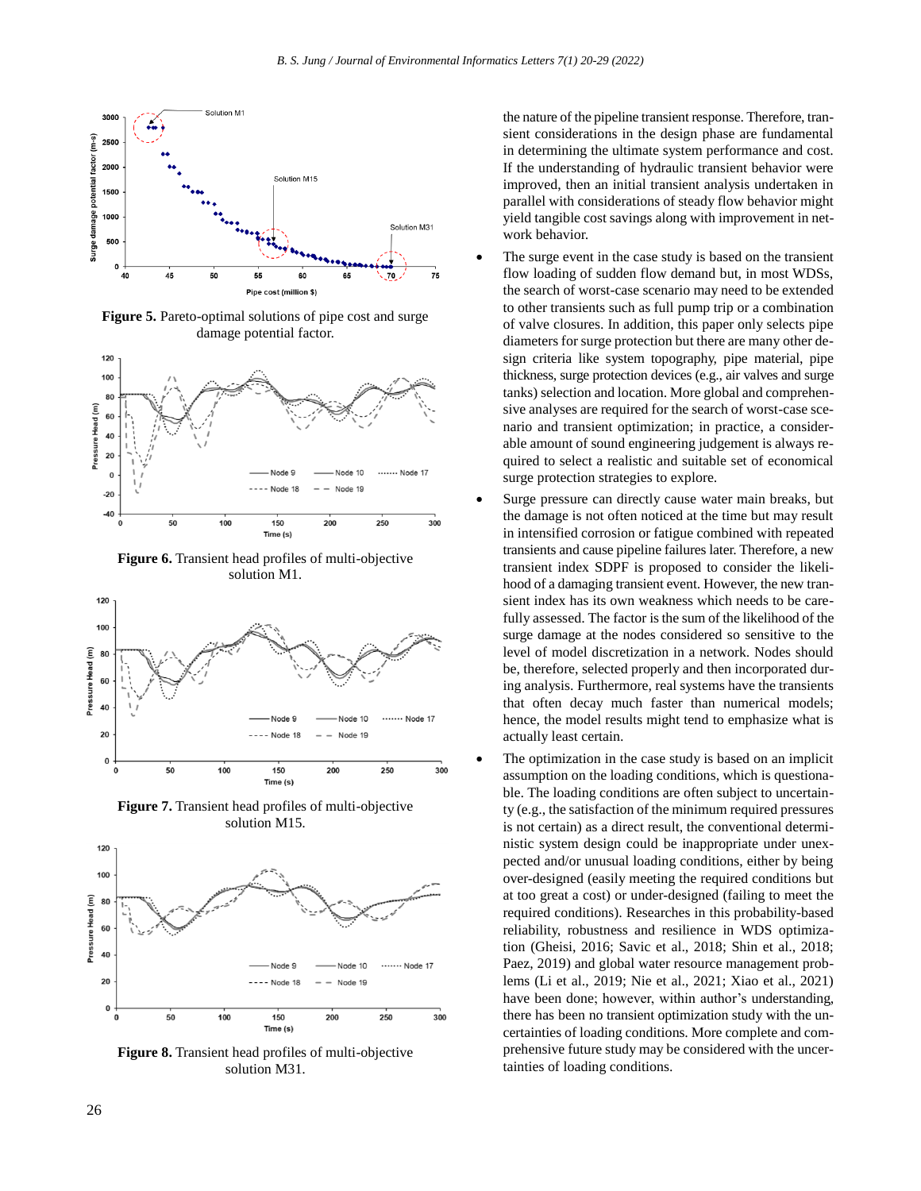

**Figure 5.** Pareto-optimal solutions of pipe cost and surge damage potential factor.



**Figure 6.** Transient head profiles of multi-objective solution M1.



**Figure 7.** Transient head profiles of multi-objective solution M15.



**Figure 8.** Transient head profiles of multi-objective solution M31.

the nature of the pipeline transient response. Therefore, transient considerations in the design phase are fundamental in determining the ultimate system performance and cost. If the understanding of hydraulic transient behavior were improved, then an initial transient analysis undertaken in parallel with considerations of steady flow behavior might yield tangible cost savings along with improvement in network behavior.

- The surge event in the case study is based on the transient flow loading of sudden flow demand but, in most WDSs, the search of worst-case scenario may need to be extended to other transients such as full pump trip or a combination of valve closures. In addition, this paper only selects pipe diameters for surge protection but there are many other design criteria like system topography, pipe material, pipe thickness, surge protection devices (e.g., air valves and surge tanks) selection and location. More global and comprehensive analyses are required for the search of worst-case scenario and transient optimization; in practice, a considerable amount of sound engineering judgement is always required to select a realistic and suitable set of economical surge protection strategies to explore.
- Surge pressure can directly cause water main breaks, but the damage is not often noticed at the time but may result in intensified corrosion or fatigue combined with repeated transients and cause pipeline failures later. Therefore, a new transient index SDPF is proposed to consider the likelihood of a damaging transient event. However, the new transient index has its own weakness which needs to be carefully assessed. The factor is the sum of the likelihood of the surge damage at the nodes considered so sensitive to the level of model discretization in a network. Nodes should be, therefore, selected properly and then incorporated during analysis. Furthermore, real systems have the transients that often decay much faster than numerical models; hence, the model results might tend to emphasize what is actually least certain.
- The optimization in the case study is based on an implicit assumption on the loading conditions, which is questionable. The loading conditions are often subject to uncertainty (e.g., the satisfaction of the minimum required pressures is not certain) as a direct result, the conventional deterministic system design could be inappropriate under unexpected and/or unusual loading conditions, either by being over-designed (easily meeting the required conditions but at too great a cost) or under-designed (failing to meet the required conditions). Researches in this probability-based reliability, robustness and resilience in WDS optimization (Gheisi, 2016; Savic et al., 2018; Shin et al., 2018; Paez, 2019) and global water resource management problems (Li et al., 2019; Nie et al., 2021; Xiao et al., 2021) have been done; however, within author's understanding, there has been no transient optimization study with the uncertainties of loading conditions. More complete and comprehensive future study may be considered with the uncertainties of loading conditions.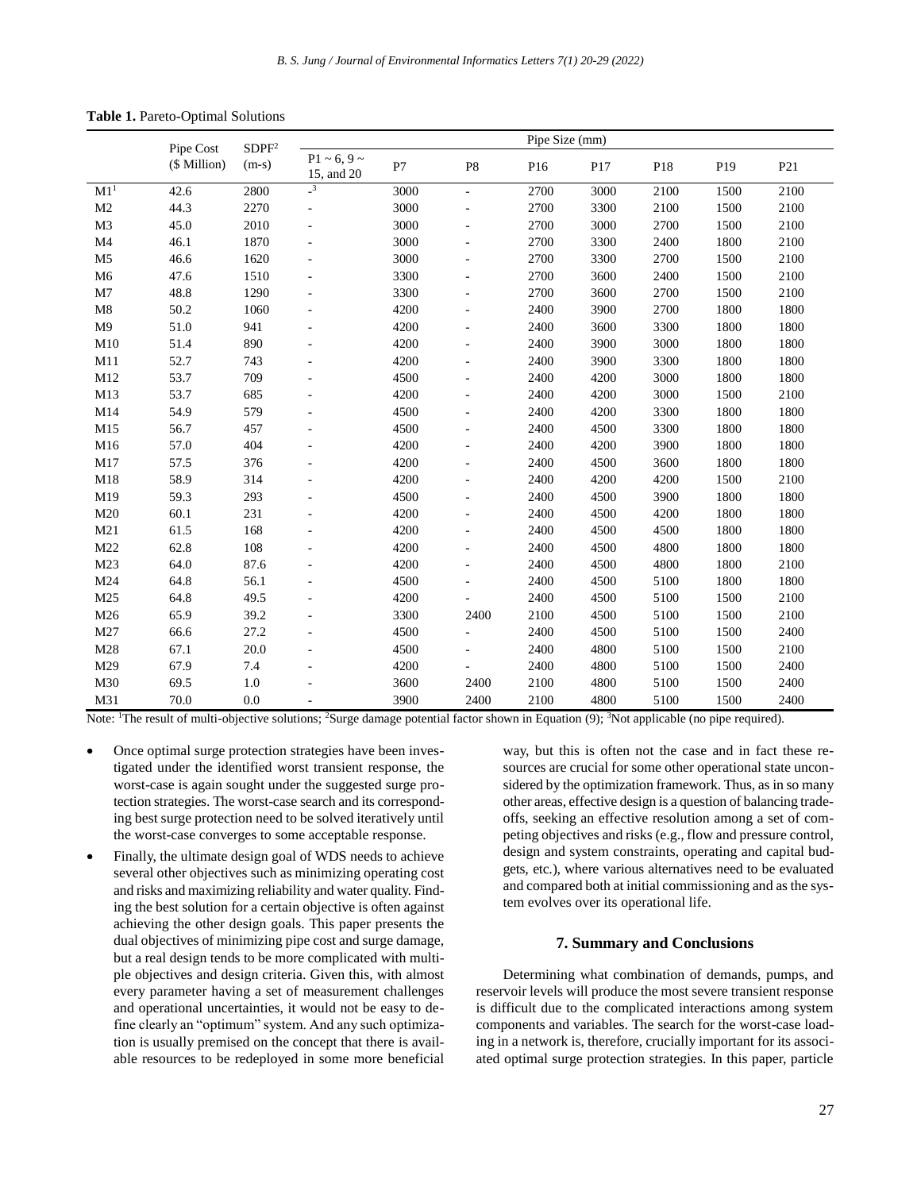|  | Table 1. Pareto-Optimal Solutions |  |
|--|-----------------------------------|--|
|--|-----------------------------------|--|

|                 | Pipe Cost<br>(\$ Million) | SDPF <sup>2</sup><br>$(m-s)$ | Pipe Size (mm)                    |      |                     |      |      |      |                 |                 |
|-----------------|---------------------------|------------------------------|-----------------------------------|------|---------------------|------|------|------|-----------------|-----------------|
|                 |                           |                              | $P1 \sim 6, 9 \sim$<br>15, and 20 | P7   | P <sub>8</sub>      | P16  | P17  | P18  | P <sub>19</sub> | P <sub>21</sub> |
| M1 <sup>1</sup> | 42.6                      | 2800                         | $\overline{\mathbf{3}}$           | 3000 | $\sim$              | 2700 | 3000 | 2100 | 1500            | 2100            |
| M <sub>2</sub>  | 44.3                      | 2270                         | $\overline{\phantom{a}}$          | 3000 |                     | 2700 | 3300 | 2100 | 1500            | 2100            |
| M <sub>3</sub>  | 45.0                      | 2010                         |                                   | 3000 |                     | 2700 | 3000 | 2700 | 1500            | 2100            |
| M <sub>4</sub>  | 46.1                      | 1870                         |                                   | 3000 |                     | 2700 | 3300 | 2400 | 1800            | 2100            |
| M <sub>5</sub>  | 46.6                      | 1620                         |                                   | 3000 |                     | 2700 | 3300 | 2700 | 1500            | 2100            |
| M6              | 47.6                      | 1510                         |                                   | 3300 |                     | 2700 | 3600 | 2400 | 1500            | 2100            |
| M <sub>7</sub>  | 48.8                      | 1290                         |                                   | 3300 |                     | 2700 | 3600 | 2700 | 1500            | 2100            |
| M8              | 50.2                      | 1060                         |                                   | 4200 |                     | 2400 | 3900 | 2700 | 1800            | 1800            |
| M <sub>9</sub>  | 51.0                      | 941                          |                                   | 4200 | ÷.                  | 2400 | 3600 | 3300 | 1800            | 1800            |
| M10             | 51.4                      | 890                          |                                   | 4200 |                     | 2400 | 3900 | 3000 | 1800            | 1800            |
| M11             | 52.7                      | 743                          | L.                                | 4200 | $\bar{\phantom{a}}$ | 2400 | 3900 | 3300 | 1800            | 1800            |
| M12             | 53.7                      | 709                          |                                   | 4500 | ÷                   | 2400 | 4200 | 3000 | 1800            | 1800            |
| M13             | 53.7                      | 685                          |                                   | 4200 |                     | 2400 | 4200 | 3000 | 1500            | 2100            |
| M14             | 54.9                      | 579                          |                                   | 4500 |                     | 2400 | 4200 | 3300 | 1800            | 1800            |
| M15             | 56.7                      | 457                          |                                   | 4500 |                     | 2400 | 4500 | 3300 | 1800            | 1800            |
| M16             | 57.0                      | 404                          |                                   | 4200 |                     | 2400 | 4200 | 3900 | 1800            | 1800            |
| M17             | 57.5                      | 376                          |                                   | 4200 |                     | 2400 | 4500 | 3600 | 1800            | 1800            |
| M18             | 58.9                      | 314                          |                                   | 4200 | ÷                   | 2400 | 4200 | 4200 | 1500            | 2100            |
| M19             | 59.3                      | 293                          |                                   | 4500 |                     | 2400 | 4500 | 3900 | 1800            | 1800            |
| M20             | 60.1                      | 231                          |                                   | 4200 | ÷                   | 2400 | 4500 | 4200 | 1800            | 1800            |
| M21             | 61.5                      | 168                          |                                   | 4200 |                     | 2400 | 4500 | 4500 | 1800            | 1800            |
| M22             | 62.8                      | 108                          |                                   | 4200 | ÷,                  | 2400 | 4500 | 4800 | 1800            | 1800            |
| M23             | 64.0                      | 87.6                         |                                   | 4200 | ä,                  | 2400 | 4500 | 4800 | 1800            | 2100            |
| M24             | 64.8                      | 56.1                         |                                   | 4500 |                     | 2400 | 4500 | 5100 | 1800            | 1800            |
| M <sub>25</sub> | 64.8                      | 49.5                         |                                   | 4200 |                     | 2400 | 4500 | 5100 | 1500            | 2100            |
| M26             | 65.9                      | 39.2                         |                                   | 3300 | 2400                | 2100 | 4500 | 5100 | 1500            | 2100            |
| M27             | 66.6                      | 27.2                         |                                   | 4500 |                     | 2400 | 4500 | 5100 | 1500            | 2400            |
| M28             | 67.1                      | 20.0                         |                                   | 4500 |                     | 2400 | 4800 | 5100 | 1500            | 2100            |
| M29             | 67.9                      | 7.4                          |                                   | 4200 |                     | 2400 | 4800 | 5100 | 1500            | 2400            |
| M30             | 69.5                      | 1.0                          |                                   | 3600 | 2400                | 2100 | 4800 | 5100 | 1500            | 2400            |
| M31             | 70.0                      | 0.0                          | $\overline{\phantom{a}}$          | 3900 | 2400                | 2100 | 4800 | 5100 | 1500            | 2400            |

Note: <sup>1</sup>The result of multi-objective solutions; <sup>2</sup>Surge damage potential factor shown in Equation (9); <sup>3</sup>Not applicable (no pipe required).

- Once optimal surge protection strategies have been investigated under the identified worst transient response, the worst-case is again sought under the suggested surge protection strategies. The worst-case search and its corresponding best surge protection need to be solved iteratively until the worst-case converges to some acceptable response.
- Finally, the ultimate design goal of WDS needs to achieve several other objectives such as minimizing operating cost and risks and maximizing reliability and water quality. Finding the best solution for a certain objective is often against achieving the other design goals. This paper presents the dual objectives of minimizing pipe cost and surge damage, but a real design tends to be more complicated with multiple objectives and design criteria. Given this, with almost every parameter having a set of measurement challenges and operational uncertainties, it would not be easy to define clearly an "optimum" system. And any such optimization is usually premised on the concept that there is available resources to be redeployed in some more beneficial

way, but this is often not the case and in fact these resources are crucial for some other operational state unconsidered by the optimization framework. Thus, as in so many other areas, effective design is a question of balancing tradeoffs, seeking an effective resolution among a set of competing objectives and risks (e.g., flow and pressure control, design and system constraints, operating and capital budgets, etc.), where various alternatives need to be evaluated and compared both at initial commissioning and as the system evolves over its operational life.

# **7. Summary and Conclusions**

Determining what combination of demands, pumps, and reservoir levels will produce the most severe transient response is difficult due to the complicated interactions among system components and variables. The search for the worst-case loading in a network is, therefore, crucially important for its associated optimal surge protection strategies. In this paper, particle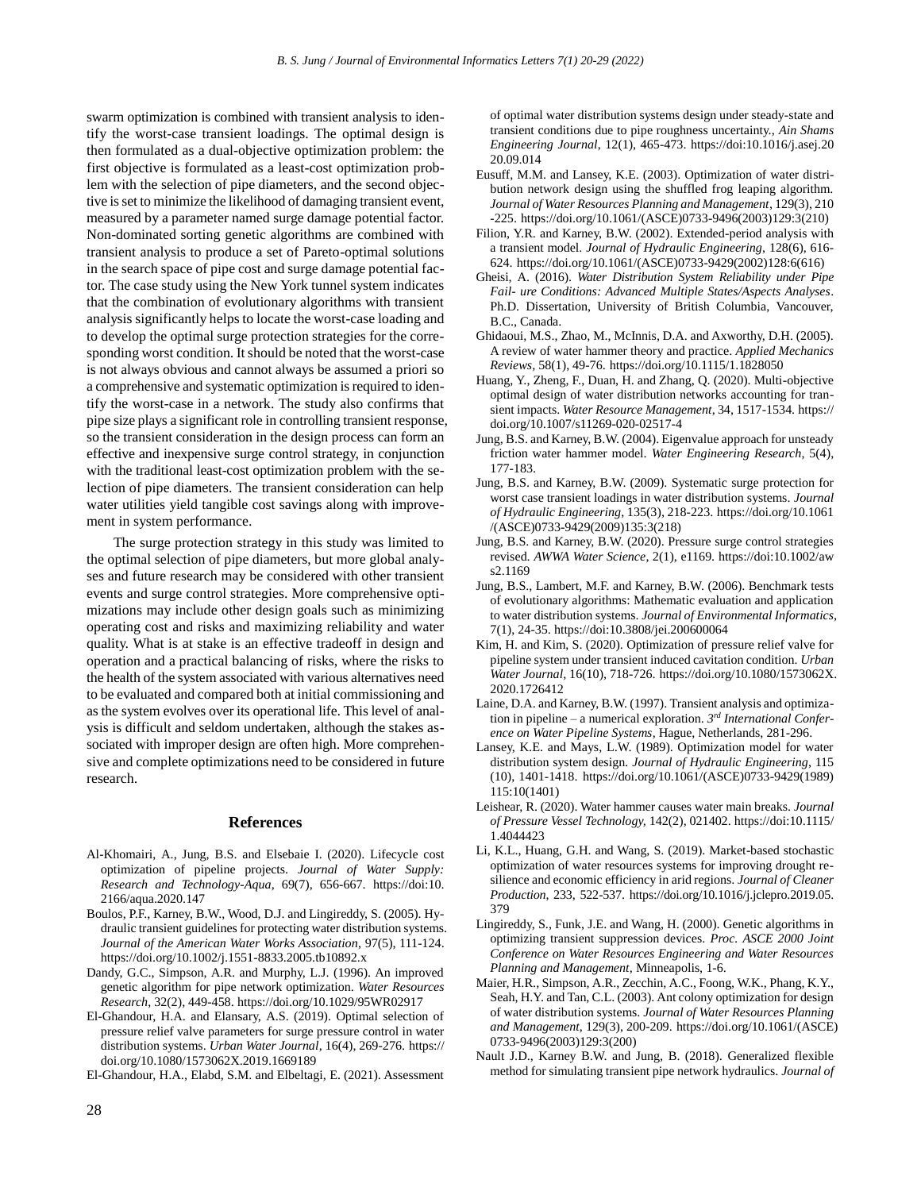swarm optimization is combined with transient analysis to identify the worst-case transient loadings. The optimal design is then formulated as a dual-objective optimization problem: the first objective is formulated as a least-cost optimization problem with the selection of pipe diameters, and the second objective is set to minimize the likelihood of damaging transient event, measured by a parameter named surge damage potential factor. Non-dominated sorting genetic algorithms are combined with transient analysis to produce a set of Pareto-optimal solutions in the search space of pipe cost and surge damage potential factor. The case study using the New York tunnel system indicates that the combination of evolutionary algorithms with transient analysis significantly helps to locate the worst-case loading and to develop the optimal surge protection strategies for the corresponding worst condition. It should be noted that the worst-case is not always obvious and cannot always be assumed a priori so a comprehensive and systematic optimization is required to identify the worst-case in a network. The study also confirms that pipe size plays a significant role in controlling transient response, so the transient consideration in the design process can form an effective and inexpensive surge control strategy, in conjunction with the traditional least-cost optimization problem with the selection of pipe diameters. The transient consideration can help water utilities yield tangible cost savings along with improvement in system performance.

The surge protection strategy in this study was limited to the optimal selection of pipe diameters, but more global analyses and future research may be considered with other transient events and surge control strategies. More comprehensive optimizations may include other design goals such as minimizing operating cost and risks and maximizing reliability and water quality. What is at stake is an effective tradeoff in design and operation and a practical balancing of risks, where the risks to the health of the system associated with various alternatives need to be evaluated and compared both at initial commissioning and as the system evolves over its operational life. This level of analysis is difficult and seldom undertaken, although the stakes associated with improper design are often high. More comprehensive and complete optimizations need to be considered in future research.

#### **References**

- Al-Khomairi, A., Jung, B.S. and Elsebaie I. (2020). Lifecycle cost optimization of pipeline projects. *Journal of Water Supply: Research and Technology-Aqua*, 69(7), 656-667. https://doi:10. 2166/aqua.2020.147
- Boulos, P.F., Karney, B.W., Wood, D.J. and Lingireddy, S. (2005). Hydraulic transient guidelines for protecting water distribution systems. *Journal of the American Water Works Association*, 97(5), 111-124. https://doi.org/10.1002/j.1551-8833.2005.tb10892.x
- Dandy, G.C., Simpson, A.R. and Murphy, L.J. (1996). An improved genetic algorithm for pipe network optimization. *Water Resources Research*, 32(2), 449-458. https://doi.org/10.1029/95WR02917
- El-Ghandour, H.A. and Elansary, A.S. (2019). Optimal selection of pressure relief valve parameters for surge pressure control in water distribution systems. *Urban Water Journal*, 16(4), 269-276. https:// doi.org/10.1080/1573062X.2019.1669189
- El-Ghandour, H.A., Elabd, S.M. and Elbeltagi, E. (2021). Assessment

of optimal water distribution systems design under steady-state and transient conditions due to pipe roughness uncertainty., *Ain Shams Engineering Journal*, 12(1), 465-473. https://doi:10.1016/j.asej.20 20.09.014

- Eusuff, M.M. and Lansey, K.E. (2003). Optimization of water distribution network design using the shuffled frog leaping algorithm. *Journal of Water Resources Planning and Management*, 129(3), 210 -225. [https://doi.org/10.1061/\(ASCE\)0733-9496\(2003\)1](https://doi.org/10.1061/(ASCE)0733-9496(2003))29:3(210)
- Filion, Y.R. and Karney, B.W. (2002). Extended-period analysis with a transient model. *Journal of Hydraulic Engineering*, 128(6), 616- 624. https://doi.org/10.1061/(ASCE)0733-9429(2002)128:6(616)
- Gheisi, A. (2016). *Water Distribution System Reliability under Pipe Fail- ure Conditions: Advanced Multiple States/Aspects Analyses*. Ph.D. Dissertation, University of British Columbia, Vancouver, B.C., Canada.
- Ghidaoui, M.S., Zhao, M., McInnis, D.A. and Axworthy, D.H. (2005). A review of water hammer theory and practice. *Applied Mechanics Reviews*, 58(1), 49-76. https://doi.org/10.1115/1.1828050
- Huang, Y., Zheng, F., Duan, H. and Zhang, Q. (2020). Multi-objective optimal design of water distribution networks accounting for transient impacts. *Water Resource Management*, 34, 1517-1534. https:// doi.org/10.1007/s11269-020-02517-4
- Jung, B.S. and Karney, B.W. (2004). Eigenvalue approach for unsteady friction water hammer model. *Water Engineering Research*, 5(4), 177-183.
- Jung, B.S. and Karney, B.W. (2009). Systematic surge protection for worst case transient loadings in water distribution systems. *Journal of Hydraulic Engineering*, 135(3), 218-223. [https://doi.org/10.1061](https://doi.org/10.1061%20/)  [/\(](https://doi.org/10.1061%20/)ASCE)0733-9429(2009)135:3(218)
- Jung, B.S. and Karney, B.W. (2020). Pressure surge control strategies revised. *AWWA Water Science*, 2(1), e1169[. https://doi:10.1002/a](https://doi:10.1002/)w s2.1169
- Jung, B.S., Lambert, M.F. and Karney, B.W. (2006). Benchmark tests of evolutionary algorithms: Mathematic evaluation and application to water distribution systems. *Journal of Environmental Informatics*, 7(1), 24-35. https://doi:10.3808/jei.200600064
- Kim, H. and Kim, S. (2020). Optimization of pressure relief valve for pipeline system under transient induced cavitation condition. *Urban Water Journal*, 16(10), 718-726. [https://doi.org/10.1080/1573062X.](https://doi.org/10.1080/1573062X) 2020.1726412
- Laine, D.A. and Karney, B.W. (1997). Transient analysis and optimization in pipeline – a numerical exploration. *3 rd International Conference on Water Pipeline Systems*, Hague, Netherlands, 281-296.
- Lansey, K.E. and Mays, L.W. (1989). Optimization model for water distribution system design. *Journal of Hydraulic Engineering*, 115 (10), 1401-1418. [https://doi.org/10.1061/\(ASCE\)0733-9429\(](https://doi.org/10.1061/(ASCE)0733-9429)1989) 115:10(1401)
- Leishear, R. (2020). Water hammer causes water main breaks. *Journal of Pressure Vessel Technology,* 142(2), 021402[. https://doi:10.1](https://doi:10/)115/ 1.4044423
- Li, K.L., Huang, G.H. and Wang, S. (2019). Market-based stochastic optimization of water resources systems for improving drought resilience and economic efficiency in arid regions. *Journal of Cleaner Production*, 233, 522-537. [https://doi.org/10.1016/j.jclepro.2019.05.](https://doi.org/10.1016/j.jclepro.2019.05) 379
- Lingireddy, S., Funk, J.E. and Wang, H. (2000). Genetic algorithms in optimizing transient suppression devices. *Proc. ASCE 2000 Joint Conference on Water Resources Engineering and Water Resources Planning and Management*, Minneapolis, 1-6.
- Maier, H.R., Simpson, A.R., Zecchin, A.C., Foong, W.K., Phang, K.Y., Seah, H.Y. and Tan, C.L. (2003). Ant colony optimization for design of water distribution systems. *Journal of Water Resources Planning and Management*, 129(3), 200-209. [https://doi.org/10.1](https://doi.org/10)061/(ASCE) 0733-9496(2003)129:3(200)
- Nault J.D., Karney B.W. and Jung, B. (2018). Generalized flexible method for simulating transient pipe network hydraulics. *Journal of*